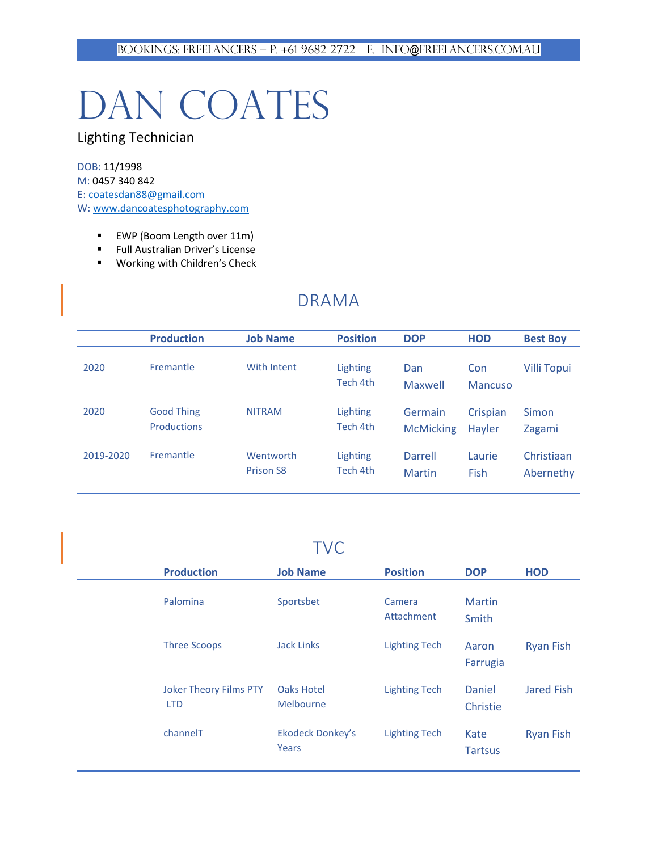# DAN COATES

#### Lighting Technician

DOB: 11/1998 M: 0457 340 842 E: [coatesdan88@gmail.com](mailto:coatesdan88@gmail.com) W[: www.dancoatesphotography.com](http://www.dancoatesphotography.com/)

- EWP (Boom Length over 11m)
- Full Australian Driver's License
- Working with Children's Check

#### DRAMA

|           | <b>Production</b>                       | <b>Job Name</b>               | <b>Position</b>      | <b>DOP</b>                  | <b>HOD</b>         | <b>Best Boy</b>         |
|-----------|-----------------------------------------|-------------------------------|----------------------|-----------------------------|--------------------|-------------------------|
| 2020      | Fremantle                               | With Intent                   | Lighting<br>Tech 4th | Dan<br>Maxwell              | Con<br>Mancuso     | <b>Villi Topui</b>      |
| 2020      | <b>Good Thing</b><br><b>Productions</b> | <b>NITRAM</b>                 | Lighting<br>Tech 4th | Germain<br><b>McMicking</b> | Crispian<br>Hayler | Simon<br>Zagami         |
| 2019-2020 | Fremantle                               | Wentworth<br><b>Prison S8</b> | Lighting<br>Tech 4th | Darrell<br><b>Martin</b>    | Laurie<br>Fish     | Christiaan<br>Abernethy |

#### TVC

| <b>Production</b>                           | <b>Job Name</b>                  | <b>Position</b>      | <b>DOP</b>             | <b>HOD</b>       |
|---------------------------------------------|----------------------------------|----------------------|------------------------|------------------|
| Palomina                                    | Sportsbet                        | Camera<br>Attachment | Martin<br>Smith        |                  |
| <b>Three Scoops</b>                         | <b>Jack Links</b>                | <b>Lighting Tech</b> | Aaron<br>Farrugia      | <b>Ryan Fish</b> |
| <b>Joker Theory Films PTY</b><br><b>LTD</b> | <b>Oaks Hotel</b><br>Melbourne   | <b>Lighting Tech</b> | Daniel<br>Christie     | Jared Fish       |
| channelT                                    | <b>Ekodeck Donkey's</b><br>Years | <b>Lighting Tech</b> | Kate<br><b>Tartsus</b> | <b>Ryan Fish</b> |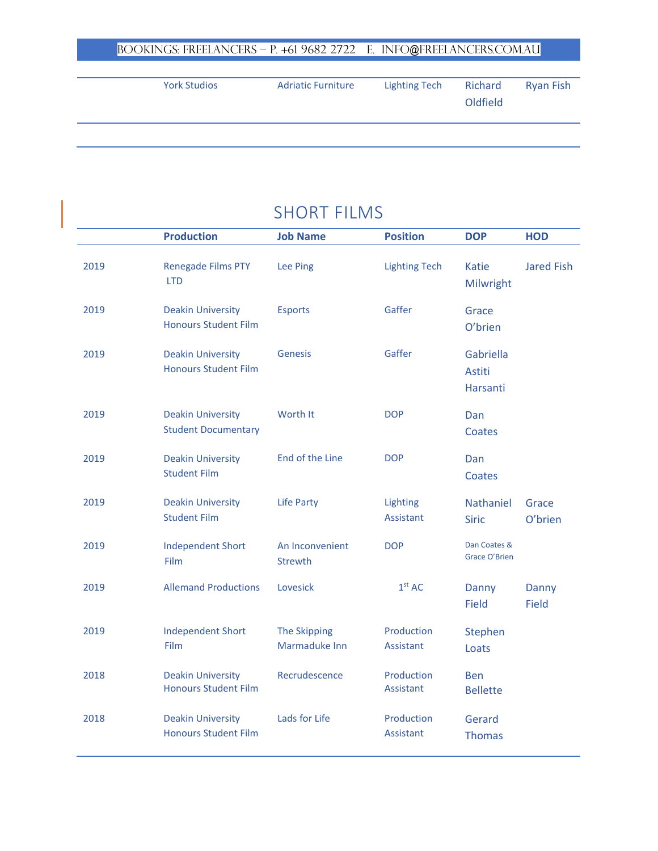#### BOOKINGS: FREELANCERS – P. +61 9682 2722 E. INFO@FREELANCERS.COM.AU

| <b>York Studios</b> | <b>Adriatic Furniture</b> | <b>Lighting Tech</b> | Richard  | <b>Ryan Fish</b> |
|---------------------|---------------------------|----------------------|----------|------------------|
|                     |                           |                      | Oldfield |                  |

## SHORT FILMS

|      | <b>Production</b>                                       | <b>Job Name</b>                      | <b>Position</b>         | <b>DOP</b>                             | <b>HOD</b>            |
|------|---------------------------------------------------------|--------------------------------------|-------------------------|----------------------------------------|-----------------------|
| 2019 | <b>Renegade Films PTY</b><br><b>LTD</b>                 | Lee Ping                             | <b>Lighting Tech</b>    | <b>Katie</b><br>Milwright              | <b>Jared Fish</b>     |
| 2019 | <b>Deakin University</b><br><b>Honours Student Film</b> | <b>Esports</b>                       | Gaffer                  | Grace<br>O'brien                       |                       |
| 2019 | <b>Deakin University</b><br><b>Honours Student Film</b> | <b>Genesis</b>                       | Gaffer                  | Gabriella<br><b>Astiti</b><br>Harsanti |                       |
| 2019 | <b>Deakin University</b><br><b>Student Documentary</b>  | Worth It                             | <b>DOP</b>              | Dan<br>Coates                          |                       |
| 2019 | <b>Deakin University</b><br><b>Student Film</b>         | End of the Line                      | <b>DOP</b>              | Dan<br>Coates                          |                       |
| 2019 | <b>Deakin University</b><br><b>Student Film</b>         | <b>Life Party</b>                    | Lighting<br>Assistant   | Nathaniel<br><b>Siric</b>              | Grace<br>O'brien      |
| 2019 | <b>Independent Short</b><br>Film                        | An Inconvenient<br><b>Strewth</b>    | <b>DOP</b>              | Dan Coates &<br>Grace O'Brien          |                       |
| 2019 | <b>Allemand Productions</b>                             | Lovesick                             | 1 <sup>st</sup> AC      | Danny<br><b>Field</b>                  | Danny<br><b>Field</b> |
| 2019 | <b>Independent Short</b><br>Film                        | <b>The Skipping</b><br>Marmaduke Inn | Production<br>Assistant | Stephen<br>Loats                       |                       |
| 2018 | <b>Deakin University</b><br><b>Honours Student Film</b> | Recrudescence                        | Production<br>Assistant | <b>Ben</b><br><b>Bellette</b>          |                       |
| 2018 | <b>Deakin University</b><br><b>Honours Student Film</b> | Lads for Life                        | Production<br>Assistant | Gerard<br><b>Thomas</b>                |                       |